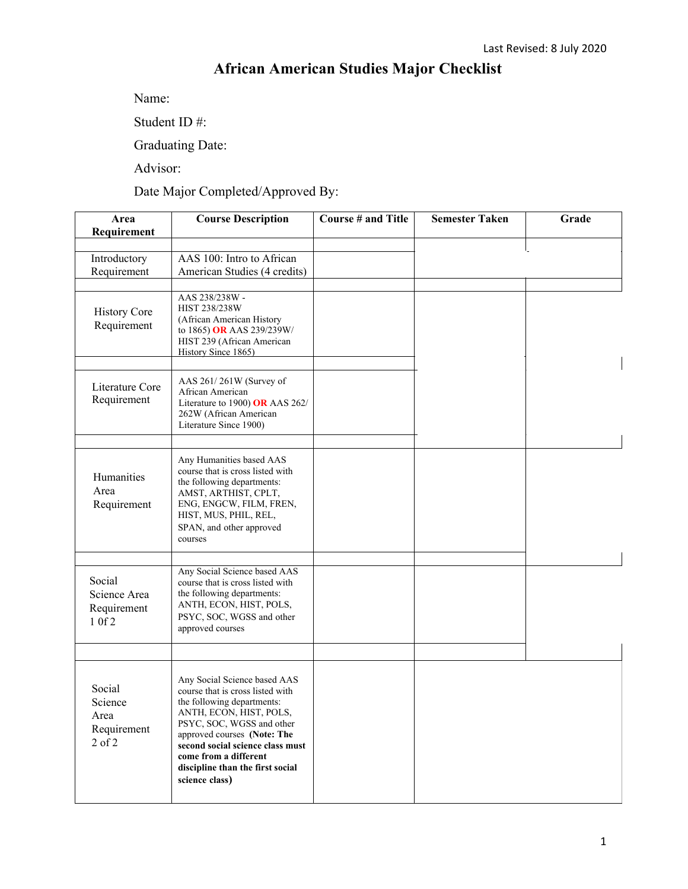## **African American Studies Major Checklist**

Name:

Student ID #:

Graduating Date:

Advisor:

Date Major Completed/Approved By:

| Area<br>Requirement                                    | <b>Course Description</b>                                                                                                                                                                                                                                                                                | <b>Course # and Title</b> | <b>Semester Taken</b> | Grade |
|--------------------------------------------------------|----------------------------------------------------------------------------------------------------------------------------------------------------------------------------------------------------------------------------------------------------------------------------------------------------------|---------------------------|-----------------------|-------|
| Introductory<br>Requirement                            | AAS 100: Intro to African<br>American Studies (4 credits)                                                                                                                                                                                                                                                |                           |                       |       |
| <b>History Core</b><br>Requirement                     | AAS 238/238W -<br>HIST 238/238W<br>(African American History<br>to 1865) OR AAS 239/239W/<br>HIST 239 (African American<br>History Since 1865)                                                                                                                                                           |                           |                       |       |
| Literature Core<br>Requirement                         | AAS 261/261W (Survey of<br>African American<br>Literature to 1900) OR AAS $262/$<br>262W (African American<br>Literature Since 1900)                                                                                                                                                                     |                           |                       |       |
| Humanities<br>Area<br>Requirement                      | Any Humanities based AAS<br>course that is cross listed with<br>the following departments:<br>AMST, ARTHIST, CPLT,<br>ENG, ENGCW, FILM, FREN,<br>HIST, MUS, PHIL, REL,<br>SPAN, and other approved<br>courses                                                                                            |                           |                       |       |
| Social<br>Science Area<br>Requirement<br>1 0f 2        | Any Social Science based AAS<br>course that is cross listed with<br>the following departments:<br>ANTH, ECON, HIST, POLS,<br>PSYC, SOC, WGSS and other<br>approved courses                                                                                                                               |                           |                       |       |
| Social<br>Science<br>Area<br>Requirement<br>$2$ of $2$ | Any Social Science based AAS<br>course that is cross listed with<br>the following departments:<br>ANTH, ECON, HIST, POLS,<br>PSYC, SOC, WGSS and other<br>approved courses (Note: The<br>second social science class must<br>come from a different<br>discipline than the first social<br>science class) |                           |                       |       |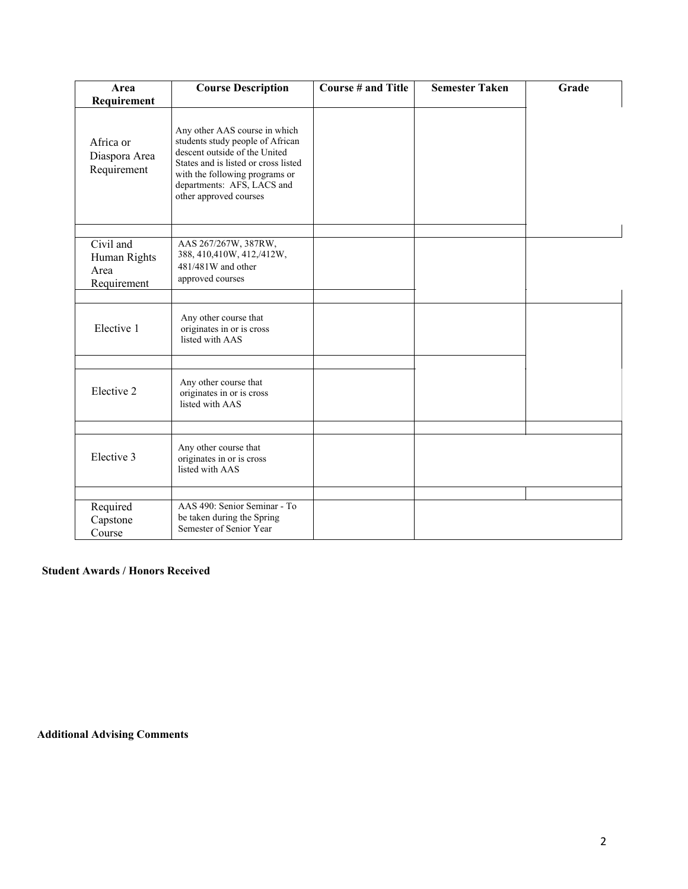| Area                                             | <b>Course Description</b>                                                                                                                                                                                                            | <b>Course # and Title</b> | <b>Semester Taken</b> | Grade |
|--------------------------------------------------|--------------------------------------------------------------------------------------------------------------------------------------------------------------------------------------------------------------------------------------|---------------------------|-----------------------|-------|
| Requirement                                      |                                                                                                                                                                                                                                      |                           |                       |       |
| Africa or<br>Diaspora Area<br>Requirement        | Any other AAS course in which<br>students study people of African<br>descent outside of the United<br>States and is listed or cross listed<br>with the following programs or<br>departments: AFS, LACS and<br>other approved courses |                           |                       |       |
| Civil and<br>Human Rights<br>Area<br>Requirement | AAS 267/267W, 387RW,<br>388, 410, 410W, 412, /412W,<br>481/481W and other<br>approved courses                                                                                                                                        |                           |                       |       |
| Elective 1                                       | Any other course that<br>originates in or is cross<br>listed with AAS                                                                                                                                                                |                           |                       |       |
| Elective 2                                       | Any other course that<br>originates in or is cross<br>listed with AAS                                                                                                                                                                |                           |                       |       |
| Elective 3                                       | Any other course that<br>originates in or is cross<br>listed with AAS                                                                                                                                                                |                           |                       |       |
| Required<br>Capstone<br>Course                   | AAS 490: Senior Seminar - To<br>be taken during the Spring<br>Semester of Senior Year                                                                                                                                                |                           |                       |       |

## **Student Awards / Honors Received**

**Additional Advising Comments**